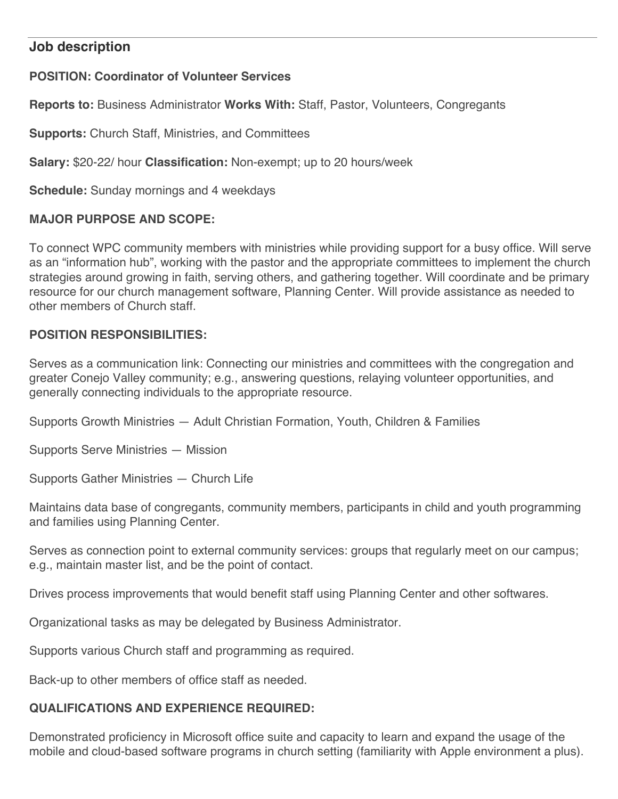## **Job description**

# **POSITION: Coordinator of Volunteer Services**

**Reports to:** Business Administrator **Works With:** Staff, Pastor, Volunteers, Congregants

**Supports:** Church Staff, Ministries, and Committees

**Salary:** \$20-22/ hour **Classification:** Non-exempt; up to 20 hours/week

**Schedule:** Sunday mornings and 4 weekdays

## **MAJOR PURPOSE AND SCOPE:**

To connect WPC community members with ministries while providing support for a busy office. Will serve as an "information hub", working with the pastor and the appropriate committees to implement the church strategies around growing in faith, serving others, and gathering together. Will coordinate and be primary resource for our church management software, Planning Center. Will provide assistance as needed to other members of Church staff.

## **POSITION RESPONSIBILITIES:**

Serves as a communication link: Connecting our ministries and committees with the congregation and greater Conejo Valley community; e.g., answering questions, relaying volunteer opportunities, and generally connecting individuals to the appropriate resource.

Supports Growth Ministries — Adult Christian Formation, Youth, Children & Families

Supports Serve Ministries — Mission

Supports Gather Ministries — Church Life

Maintains data base of congregants, community members, participants in child and youth programming and families using Planning Center.

Serves as connection point to external community services: groups that regularly meet on our campus; e.g., maintain master list, and be the point of contact.

Drives process improvements that would benefit staff using Planning Center and other softwares.

Organizational tasks as may be delegated by Business Administrator.

Supports various Church staff and programming as required.

Back-up to other members of office staff as needed.

## **QUALIFICATIONS AND EXPERIENCE REQUIRED:**

Demonstrated proficiency in Microsoft office suite and capacity to learn and expand the usage of the mobile and cloud-based software programs in church setting (familiarity with Apple environment a plus).